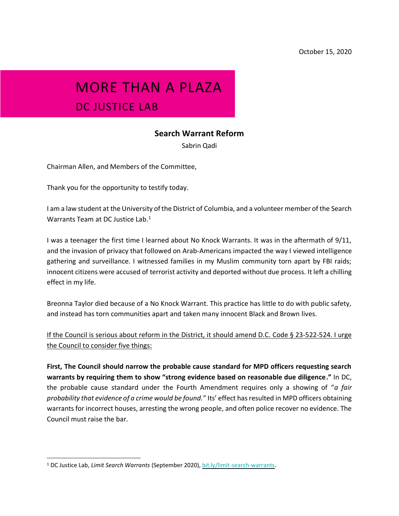## MORE THAN A PLAZA DC JUSTICE LAB

## **Search Warrant Reform**

Sabrin Qadi

Chairman Allen, and Members of the Committee,

Thank you for the opportunity to testify today.

I am a law student at the University of the District of Columbia, and a volunteer member of the Search Warrants Team at DC Justice Lab.<sup>1</sup>

I was a teenager the first time I learned about No Knock Warrants. It was in the aftermath of 9/11, and the invasion of privacy that followed on Arab-Americans impacted the way I viewed intelligence gathering and surveillance. I witnessed families in my Muslim community torn apart by FBI raids; innocent citizens were accused of terrorist activity and deported without due process. It left a chilling effect in my life.

Breonna Taylor died because of a No Knock Warrant. This practice has little to do with public safety, and instead has torn communities apart and taken many innocent Black and Brown lives.

If the Council is serious about reform in the District, it should amend D.C. Code § 23-522-524. I urge the Council to consider five things:

**First, The Council should narrow the probable cause standard for MPD officers requesting search warrants by requiring them to show "strong evidence based on reasonable due diligence."** In DC, the probable cause standard under the Fourth Amendment requires only a showing of "*a fair probability that evidence of a crime would be found.*" Its' effect has resulted in MPD officers obtaining warrants for incorrect houses, arresting the wrong people, and often police recover no evidence. The Council must raise the bar.

<sup>1</sup> DC Justice Lab, *Limit Search Warrants* (September 2020)[, bit.ly/limit-search-warrants.](http://bit.ly/limit-search-warrants)